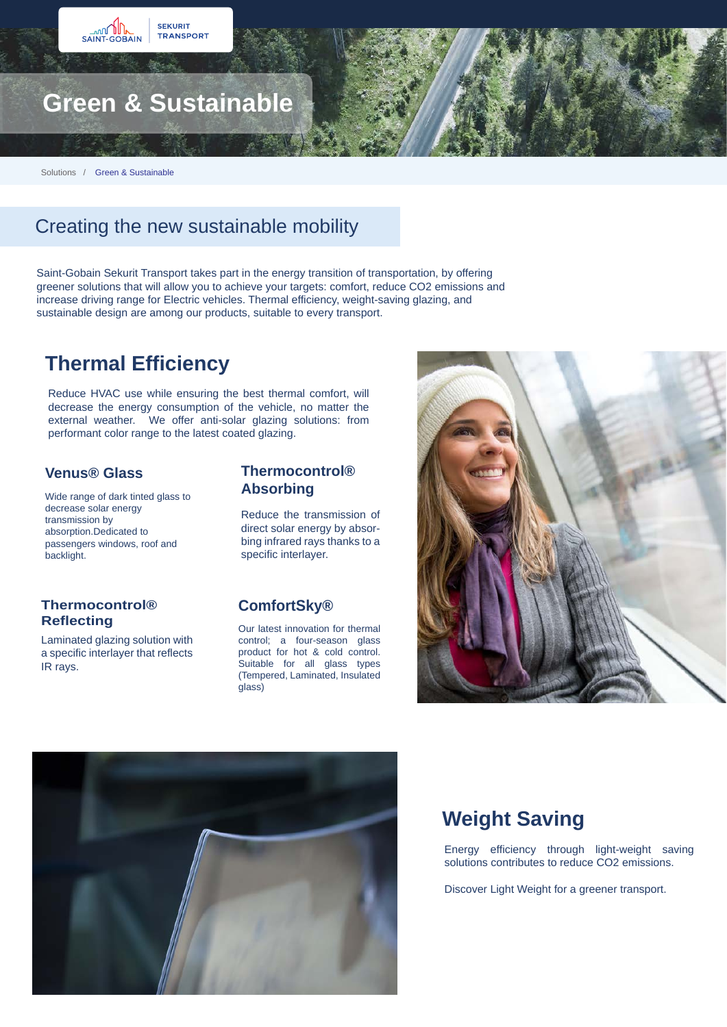

Solutions / Green & Sustainable

## Creating the new sustainable mobility

Saint-Gobain Sekurit Transport takes part in the energy transition of transportation, by offering greener solutions that will allow you to achieve your targets: comfort, reduce CO2 emissions and increase driving range for Electric vehicles. Thermal efficiency, weight-saving glazing, and sustainable design are among our products, suitable to every transport.

## **Thermal Efficiency**

Reduce HVAC use while ensuring the best thermal comfort, will decrease the energy consumption of the vehicle, no matter the external weather. We offer anti-solar glazing solutions: from performant color range to the latest coated glazing.

#### **Venus® Glass**

Wide range of dark tinted glass to decrease solar energy transmission by absorption.Dedicated to passengers windows, roof and backlight.

# **Thermocontrol®**

Laminated glazing solution with a specific interlayer that reflects IR rays.

#### **Thermocontrol® Absorbing**

Reduce the transmission of direct solar energy by absorbing infrared rays thanks to a specific interlayer.

#### **ComfortSky®**

**Our latest innovation for thermal** control; a four-season glass product for hot & cold control. Suitable for all glass types (Tempered, Laminated, Insulated glass)





## **Weight Saving**

Energy efficiency through light-weight saving solutions contributes to reduce CO2 emissions.

Discover Light Weight for a greener transport.